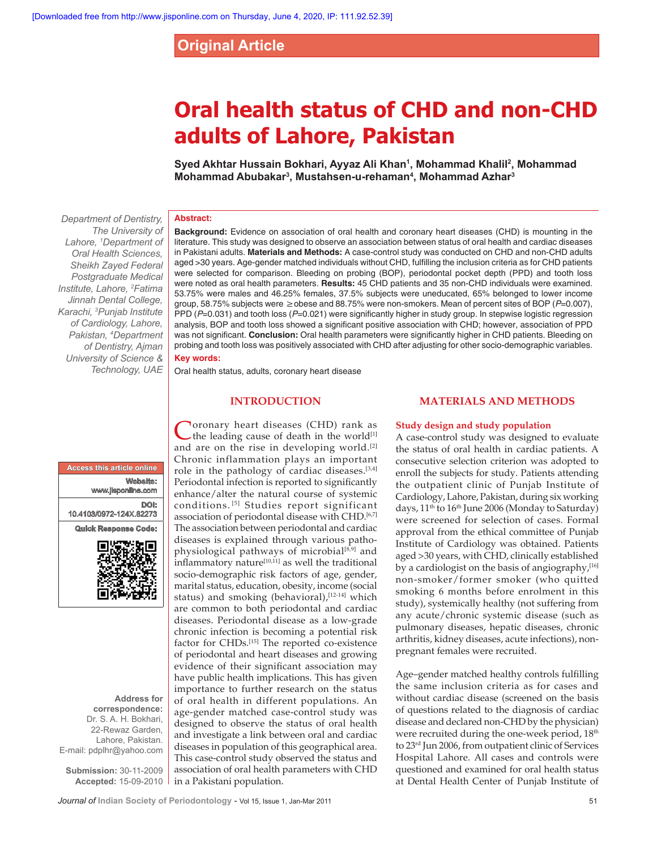# **Original Article**

# **Oral health status of CHD and non-CHD adults of Lahore, Pakistan**

**Syed Akhtar Hussain Bokhari, Ayyaz Ali Khan1 , Mohammad Khalil2 , Mohammad Mohammad Abubakar3 , Mustahsen-u-rehaman4 , Mohammad Azhar3**

# **Abstract:**

*The University of Lahore, 1 Department of Oral Health Sciences, Sheikh Zayed Federal Postgraduate Medical Institute, Lahore, 2 Fatima Jinnah Dental College, Karachi, 3 Punjab Institute of Cardiology, Lahore, Pakistan, 4 Department of Dentistry, Ajman University of Science & Technology, UAE*

*Department of Dentistry,* 

**Background:** Evidence on association of oral health and coronary heart diseases (CHD) is mounting in the literature. This study was designed to observe an association between status of oral health and cardiac diseases in Pakistani adults. **Materials and Methods:** A case-control study was conducted on CHD and non-CHD adults aged >30 years. Age-gender matched individuals without CHD, fulfilling the inclusion criteria as for CHD patients were selected for comparison. Bleeding on probing (BOP), periodontal pocket depth (PPD) and tooth loss were noted as oral health parameters. **Results:** 45 CHD patients and 35 non-CHD individuals were examined. 53.75% were males and 46.25% females, 37.5% subjects were uneducated, 65% belonged to lower income group, 58.75% subjects were ≥obese and 88.75% were non-smokers. Mean of percent sites of BOP (*P*=0.007), PPD (*P*=0.031) and tooth loss (*P*=0.021) were significantly higher in study group. In stepwise logistic regression analysis, BOP and tooth loss showed a significant positive association with CHD; however, association of PPD was not significant. **Conclusion:** Oral health parameters were significantly higher in CHD patients. Bleeding on probing and tooth loss was positively associated with CHD after adjusting for other socio-demographic variables. **Key words:**

Oral health status, adults, coronary heart disease

# **INTRODUCTION**

# **Access this article online Website:** www.jisponline.com **DOI:**  10.4103/0972-124X.82273 **Quick Response Code:**



**Address for correspondence:** Dr. S. A. H. Bokhari, 22-Rewaz Garden, Lahore, Pakistan. E-mail: pdplhr@yahoo.com

**Submission:** 30-11-2009 **Accepted:** 15-09-2010

Coronary heart diseases (CHD) rank as the leading cause of death in the world<sup>[1]</sup> and are on the rise in developing world.<sup>[2]</sup> Chronic inflammation plays an important role in the pathology of cardiac diseases.[3,4] Periodontal infection is reported to significantly enhance/alter the natural course of systemic conditions. [5] Studies report significant association of periodontal disease with CHD.<sup>[6,7]</sup> The association between periodontal and cardiac diseases is explained through various pathophysiological pathways of microbial<sup>[8,9]</sup> and  $\frac{1}{2}$ inflammatory nature<sup>[10,11]</sup> as well the traditional socio-demographic risk factors of age, gender, marital status, education, obesity, income (social status) and smoking (behavioral),<sup>[12-14]</sup> which are common to both periodontal and cardiac diseases. Periodontal disease as a low-grade chronic infection is becoming a potential risk factor for CHDs.[15] The reported co-existence of periodontal and heart diseases and growing evidence of their significant association may have public health implications. This has given importance to further research on the status of oral health in different populations. An age-gender matched case-control study was designed to observe the status of oral health and investigate a link between oral and cardiac diseases in population of this geographical area. This case-control study observed the status and association of oral health parameters with CHD in a Pakistani population.

# **MATERIALS AND METHODS**

# **Study design and study population**

A case-control study was designed to evaluate the status of oral health in cardiac patients. A consecutive selection criterion was adopted to enroll the subjects for study. Patients attending the outpatient clinic of Punjab Institute of Cardiology, Lahore, Pakistan, during six working days, 11<sup>th</sup> to 16<sup>th</sup> June 2006 (Monday to Saturday) were screened for selection of cases. Formal approval from the ethical committee of Punjab Institute of Cardiology was obtained. Patients aged >30 years, with CHD, clinically established by a cardiologist on the basis of angiography, $[16]$ non-smoker/former smoker (who quitted smoking 6 months before enrolment in this study), systemically healthy (not suffering from any acute/chronic systemic disease (such as pulmonary diseases, hepatic diseases, chronic arthritis, kidney diseases, acute infections), nonpregnant females were recruited.

Age–gender matched healthy controls fulfilling the same inclusion criteria as for cases and without cardiac disease (screened on the basis of questions related to the diagnosis of cardiac disease and declared non-CHD by the physician) were recruited during the one-week period, 18<sup>th</sup> to 23rd Jun 2006, from outpatient clinic of Services Hospital Lahore. All cases and controls were questioned and examined for oral health status at Dental Health Center of Punjab Institute of

**Journal of** Indian Society of Periodontology - Vol 15, Issue 1, Jan-Mar 2011 51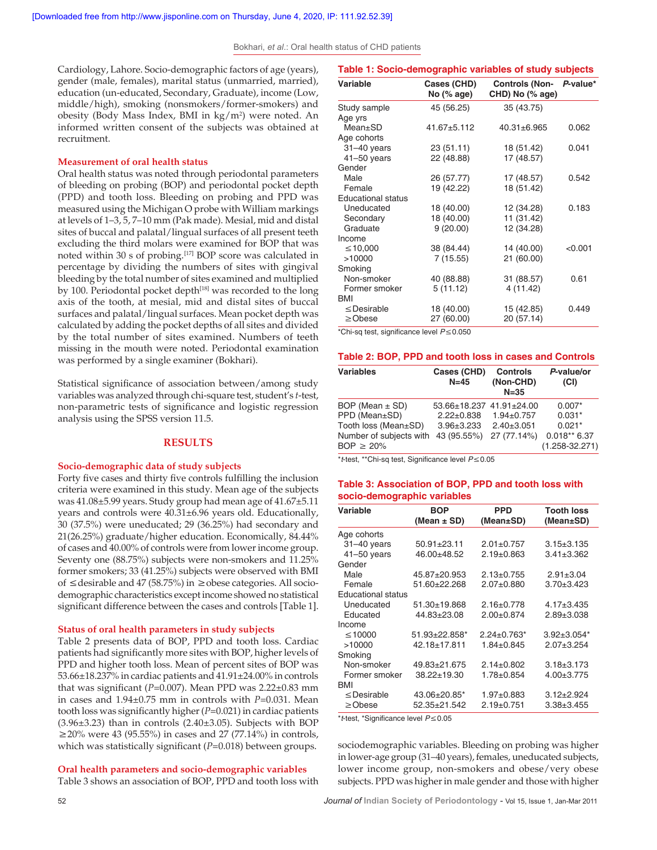Bokhari, *et al*.: Oral health status of CHD patients

Cardiology, Lahore. Socio-demographic factors of age (years), gender (male, females), marital status (unmarried, married), education (un-educated, Secondary, Graduate), income (Low, middle/high), smoking (nonsmokers/former-smokers) and obesity (Body Mass Index, BMI in kg/m<sup>2</sup>) were noted. An informed written consent of the subjects was obtained at recruitment.

#### **Measurement of oral health status**

Oral health status was noted through periodontal parameters of bleeding on probing (BOP) and periodontal pocket depth (PPD) and tooth loss. Bleeding on probing and PPD was measured using the Michigan O probe with William markings at levels of 1–3, 5, 7–10 mm (Pak made). Mesial, mid and distal sites of buccal and palatal/lingual surfaces of all present teeth excluding the third molars were examined for BOP that was noted within 30 s of probing.<sup>[17]</sup> BOP score was calculated in percentage by dividing the numbers of sites with gingival bleeding by the total number of sites examined and multiplied by 100. Periodontal pocket depth<sup>[18]</sup> was recorded to the long axis of the tooth, at mesial, mid and distal sites of buccal surfaces and palatal/lingual surfaces. Mean pocket depth was calculated by adding the pocket depths of all sites and divided by the total number of sites examined. Numbers of teeth missing in the mouth were noted. Periodontal examination was performed by a single examiner (Bokhari).

Statistical significance of association between/among study variables was analyzed through chi-square test, student's *t*-test, non-parametric tests of significance and logistic regression analysis using the SPSS version 11.5.

# **RESULTS**

#### **Socio-demographic data of study subjects**

Forty five cases and thirty five controls fulfilling the inclusion criteria were examined in this study. Mean age of the subjects was 41.08±5.99 years. Study group had mean age of 41.67±5.11 years and controls were 40.31±6.96 years old. Educationally, 30 (37.5%) were uneducated; 29 (36.25%) had secondary and 21(26.25%) graduate/higher education. Economically, 84.44% of cases and 40.00% of controls were from lower income group. Seventy one (88.75%) subjects were non-smokers and 11.25% former smokers; 33 (41.25%) subjects were observed with BMI of ≤desirable and 47 (58.75%) in ≥obese categories. All sociodemographic characteristics except income showed no statistical significant difference between the cases and controls [Table 1].

## **Status of oral health parameters in study subjects**

Table 2 presents data of BOP, PPD and tooth loss. Cardiac patients had significantly more sites with BOP, higher levels of PPD and higher tooth loss. Mean of percent sites of BOP was 53.66±18.237% in cardiac patients and 41.91±24.00% in controls that was significant (*P*=0.007). Mean PPD was 2.22±0.83 mm in cases and 1.94±0.75 mm in controls with *P*=0.031. Mean tooth loss was significantly higher (*P*=0.021) in cardiac patients  $(3.96\pm3.23)$  than in controls  $(2.40\pm3.05)$ . Subjects with BOP ≥20% were 43 (95.55%) in cases and 27 (77.14%) in controls, which was statistically significant (*P*=0.018) between groups.

#### **Oral health parameters and socio-demographic variables**

Table 3 shows an association of BOP, PPD and tooth loss with

| Cases (CHD)<br><b>Controls (Non-</b><br>No (% age)<br>CHD) No (% age)<br>45 (56.25)<br>35 (43.75)<br>$41.67 + 5.112$<br>$40.31 + 6.965$<br>23 (51.11)<br>18 (51.42)<br>22 (48.88)<br>17 (48.57) | P-value*<br>0.062<br>0.041 |
|-------------------------------------------------------------------------------------------------------------------------------------------------------------------------------------------------|----------------------------|
|                                                                                                                                                                                                 |                            |
|                                                                                                                                                                                                 |                            |
|                                                                                                                                                                                                 |                            |
|                                                                                                                                                                                                 |                            |
|                                                                                                                                                                                                 |                            |
|                                                                                                                                                                                                 |                            |
|                                                                                                                                                                                                 |                            |
|                                                                                                                                                                                                 |                            |
| 26 (57.77)<br>17 (48.57)                                                                                                                                                                        | 0.542                      |
| 19 (42.22)<br>18 (51.42)                                                                                                                                                                        |                            |
|                                                                                                                                                                                                 |                            |
| 18 (40.00)<br>12 (34.28)                                                                                                                                                                        | 0.183                      |
| 18 (40.00)<br>11 (31.42)                                                                                                                                                                        |                            |
| 9(20.00)<br>12 (34.28)                                                                                                                                                                          |                            |
|                                                                                                                                                                                                 |                            |
| 14 (40.00)<br>38 (84.44)                                                                                                                                                                        | < 0.001                    |
| 21 (60.00)<br>7(15.55)                                                                                                                                                                          |                            |
|                                                                                                                                                                                                 |                            |
| 31 (88.57)<br>40 (88.88)                                                                                                                                                                        | 0.61                       |
| 5(11.12)<br>4 (11.42)                                                                                                                                                                           |                            |
|                                                                                                                                                                                                 |                            |
| 18 (40.00)<br>15 (42.85)                                                                                                                                                                        | 0.449                      |
| 20 (57.14)<br>27 (60.00)                                                                                                                                                                        |                            |
| *Chi-sq test, significance level P ≤ 0.050                                                                                                                                                      |                            |

#### **Table 2: BOP, PPD and tooth loss in cases and Controls**

| <b>Variables</b>        | Cases (CHD)<br>$N=45$    | <b>Controls</b><br>(Non-CHD)<br>$N = 35$ | P-value/or<br>(CI) |
|-------------------------|--------------------------|------------------------------------------|--------------------|
| BOP (Mean $\pm$ SD)     | 53.66±18.237 41.91±24.00 |                                          | $0.007*$           |
| PPD (Mean±SD)           | $2.22 \pm 0.838$         | $1.94 \pm 0.757$                         | $0.031*$           |
| Tooth loss (Mean±SD)    | $3.96 \pm 3.233$         | $2.40 \pm 3.051$                         | $0.021*$           |
| Number of subjects with | 43 (95.55%)              | 27 (77.14%)                              | $0.018**6.37$      |
| $BOP \geq 20\%$         |                          |                                          | $(1.258 - 32.271)$ |

\**t*-test, \*\*Chi-sq test, Significance level *P*≤0.05

#### **Table 3: Association of BOP, PPD and tooth loss with socio-demographic variables**

| Variable           | <b>BOP</b>           | <b>PPD</b>         | <b>Tooth loss</b> |
|--------------------|----------------------|--------------------|-------------------|
|                    | (Mean $\pm$ SD)      | (Mean±SD)          | (Mean±SD)         |
| Age cohorts        |                      |                    |                   |
| $31-40$ years      | $50.91 \pm 23.11$    | $2.01 \pm 0.757$   | $3.15 \pm 3.135$  |
| $41 - 50$ years    | 46.00±48.52          | $2.19 + 0.863$     | $3.41 \pm 3.362$  |
| Gender             |                      |                    |                   |
| Male               | 45.87±20.953         | $2.13 \pm 0.755$   | $2.91 \pm 3.04$   |
| Female             | 51.60+22.268         | $2.07 + 0.880$     | $3.70 + 3.423$    |
| Educational status |                      |                    |                   |
| Uneducated         | $51.30 + 19.868$     | $2.16+0.778$       | $4.17 \pm 3.435$  |
| Educated           | 44.83±23.08          | $2.00+0.874$       | $2.89 + 3.038$    |
| Income             |                      |                    |                   |
| ≤10000             | $51.93 \pm 22.858^*$ | $2.24 \pm 0.763$ * | $3.92 \pm 3.054*$ |
| >10000             | 42.18±17.811         | $1.84 \pm 0.845$   | $2.07 \pm 3.254$  |
| Smoking            |                      |                    |                   |
| Non-smoker         | 49.83+21.675         | $2.14 \pm 0.802$   | $3.18 \pm 3.173$  |
| Former smoker      | 38.22±19.30          | $1.78 + 0.854$     | $4.00 + 3.775$    |
| BMI                |                      |                    |                   |
| $\leq$ Desirable   | 43.06±20.85*         | $1.97 \pm 0.883$   | $3.12 \pm 2.924$  |
| $\geq$ Obese       | 52.35+21.542         | $2.19+0.751$       | $3.38 + 3.455$    |

\**t*-test, \*Significance level P≤0.05

sociodemographic variables. Bleeding on probing was higher in lower-age group (31–40 years), females, uneducated subjects, lower income group, non-smokers and obese/very obese subjects. PPD was higher in male gender and those with higher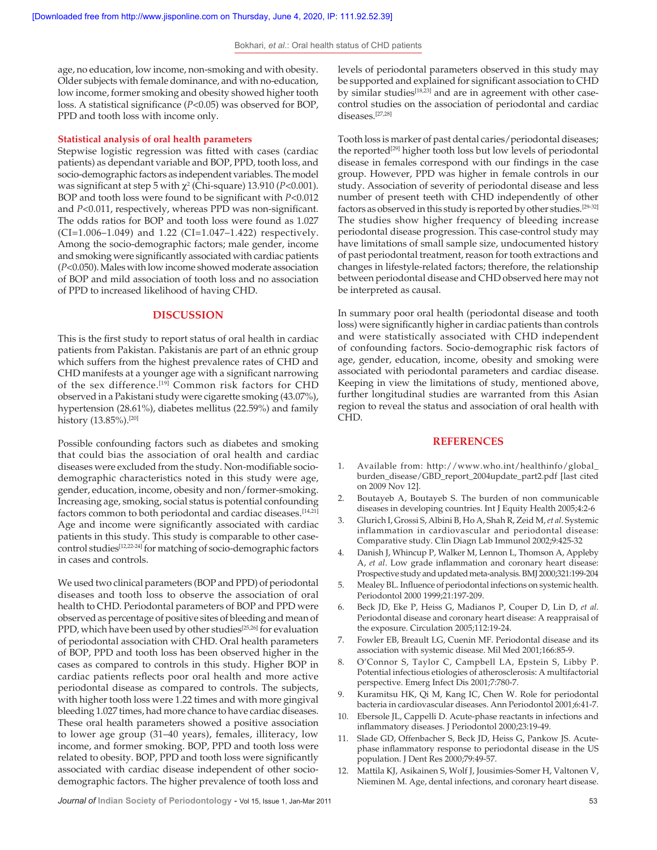age, no education, low income, non-smoking and with obesity. Older subjects with female dominance, and with no-education, low income, former smoking and obesity showed higher tooth loss. A statistical significance (*P*<0.05) was observed for BOP, PPD and tooth loss with income only.

#### **Statistical analysis of oral health parameters**

Stepwise logistic regression was fitted with cases (cardiac patients) as dependant variable and BOP, PPD, tooth loss, and socio-demographic factors as independent variables. The model was significant at step 5 with  $\chi^2$  (Chi-square) 13.910 (*P<*0.001). BOP and tooth loss were found to be significant with *P*<0.012 and *P*<0.011, respectively, whereas PPD was non-significant. The odds ratios for BOP and tooth loss were found as 1.027 (CI=1.006–1.049) and 1.22 (CI=1.047–1.422) respectively. Among the socio-demographic factors; male gender, income and smoking were significantly associated with cardiac patients (*P*<0.050). Males with low income showed moderate association of BOP and mild association of tooth loss and no association of PPD to increased likelihood of having CHD.

#### **DISCUSSION**

This is the first study to report status of oral health in cardiac patients from Pakistan. Pakistanis are part of an ethnic group which suffers from the highest prevalence rates of CHD and CHD manifests at a younger age with a significant narrowing of the sex difference.<sup>[19]</sup> Common risk factors for CHD observed in a Pakistani study were cigarette smoking (43.07%), hypertension (28.61%), diabetes mellitus (22.59%) and family history (13.85%).<sup>[20]</sup>

Possible confounding factors such as diabetes and smoking that could bias the association of oral health and cardiac diseases were excluded from the study. Non-modifiable sociodemographic characteristics noted in this study were age, gender, education, income, obesity and non/former-smoking. Increasing age, smoking, social status is potential confounding factors common to both periodontal and cardiac diseases.<sup>[14,21]</sup> Age and income were significantly associated with cardiac patients in this study. This study is comparable to other casecontrol studies<sup>[12,22-24]</sup> for matching of socio-demographic factors in cases and controls.

We used two clinical parameters (BOP and PPD) of periodontal diseases and tooth loss to observe the association of oral health to CHD. Periodontal parameters of BOP and PPD were observed as percentage of positive sites of bleeding and mean of PPD, which have been used by other studies<sup>[25,26]</sup> for evaluation of periodontal association with CHD. Oral health parameters of BOP, PPD and tooth loss has been observed higher in the cases as compared to controls in this study. Higher BOP in cardiac patients reflects poor oral health and more active periodontal disease as compared to controls. The subjects, with higher tooth loss were 1.22 times and with more gingival bleeding 1.027 times, had more chance to have cardiac diseases. These oral health parameters showed a positive association to lower age group (31–40 years), females, illiteracy, low income, and former smoking. BOP, PPD and tooth loss were related to obesity. BOP, PPD and tooth loss were significantly associated with cardiac disease independent of other sociodemographic factors. The higher prevalence of tooth loss and

levels of periodontal parameters observed in this study may be supported and explained for significant association to CHD by similar studies<sup>[18,23]</sup> and are in agreement with other casecontrol studies on the association of periodontal and cardiac diseases.[27,28]

Tooth loss is marker of past dental caries/periodontal diseases; the reported<sup>[29]</sup> higher tooth loss but low levels of periodontal disease in females correspond with our findings in the case group. However, PPD was higher in female controls in our study. Association of severity of periodontal disease and less number of present teeth with CHD independently of other factors as observed in this study is reported by other studies.[29-32] The studies show higher frequency of bleeding increase periodontal disease progression. This case-control study may have limitations of small sample size, undocumented history of past periodontal treatment, reason for tooth extractions and changes in lifestyle-related factors; therefore, the relationship between periodontal disease and CHD observed here may not be interpreted as causal.

In summary poor oral health (periodontal disease and tooth loss) were significantly higher in cardiac patients than controls and were statistically associated with CHD independent of confounding factors. Socio-demographic risk factors of age, gender, education, income, obesity and smoking were associated with periodontal parameters and cardiac disease. Keeping in view the limitations of study, mentioned above, further longitudinal studies are warranted from this Asian region to reveal the status and association of oral health with CHD.

#### **REFERENCES**

- 1. Available from: http://www.who.int/healthinfo/global\_ burden\_disease/GBD\_report\_2004update\_part2.pdf [last cited on 2009 Nov 12].
- 2. Boutayeb A, Boutayeb S. The burden of non communicable diseases in developing countries. Int J Equity Health 2005;4:2-6
- 3. Glurich I, Grossi S, Albini B, Ho A, Shah R, Zeid M, *et al*. Systemic inflammation in cardiovascular and periodontal disease: Comparative study. Clin Diagn Lab Immunol 2002;9:425-32
- 4. Danish J, Whincup P, Walker M, Lennon L, Thomson A, Appleby A, *et al*. Low grade inflammation and coronary heart disease: Prospective study and updated meta-analysis. BMJ 2000;321:199-204
- 5. Mealey BL. Influence of periodontal infections on systemic health. Periodontol 2000 1999;21:197-209.
- 6. Beck JD, Eke P, Heiss G, Madianos P, Couper D, Lin D, *et al*. Periodontal disease and coronary heart disease: A reappraisal of the exposure. Circulation 2005;112:19-24.
- 7. Fowler EB, Breault LG, Cuenin MF. Periodontal disease and its association with systemic disease. Mil Med 2001;166:85-9.
- 8. O'Connor S, Taylor C, Campbell LA, Epstein S, Libby P. Potential infectious etiologies of atherosclerosis: A multifactorial perspective. Emerg Infect Dis 2001;7:780-7.
- 9. Kuramitsu HK, Qi M, Kang IC, Chen W. Role for periodontal bacteria in cardiovascular diseases. Ann Periodontol 2001;6:41-7.
- Ebersole JL, Cappelli D. Acute-phase reactants in infections and inflammatory diseases. J Periodontol 2000;23:19-49.
- 11. Slade GD, Offenbacher S, Beck JD, Heiss G, Pankow JS. Acutephase inflammatory response to periodontal disease in the US population. J Dent Res 2000;79:49-57.
- 12. Mattila KJ, Asikainen S, Wolf J, Jousimies-Somer H, Valtonen V, Nieminen M. Age, dental infections, and coronary heart disease.